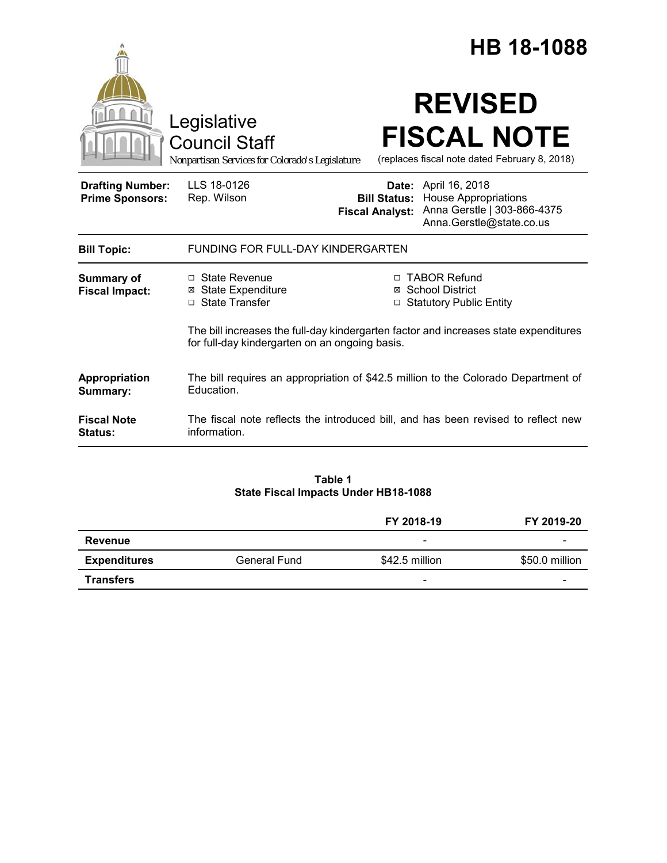|                                                   |                                                                                                                                        |                     | <b>HB 18-1088</b>                                                                                                                     |
|---------------------------------------------------|----------------------------------------------------------------------------------------------------------------------------------------|---------------------|---------------------------------------------------------------------------------------------------------------------------------------|
|                                                   | Legislative<br><b>Council Staff</b><br>Nonpartisan Services for Colorado's Legislature                                                 |                     | <b>REVISED</b><br><b>FISCAL NOTE</b><br>(replaces fiscal note dated February 8, 2018)                                                 |
| <b>Drafting Number:</b><br><b>Prime Sponsors:</b> | LLS 18-0126<br>Rep. Wilson                                                                                                             | <b>Bill Status:</b> | <b>Date:</b> April 16, 2018<br><b>House Appropriations</b><br>Fiscal Analyst: Anna Gerstle   303-866-4375<br>Anna.Gerstle@state.co.us |
| <b>Bill Topic:</b>                                | <b>FUNDING FOR FULL-DAY KINDERGARTEN</b>                                                                                               |                     |                                                                                                                                       |
| <b>Summary of</b><br><b>Fiscal Impact:</b>        | $\Box$ State Revenue<br><b>⊠</b> State Expenditure<br>□ State Transfer                                                                 |                     | □ TABOR Refund<br>⊠ School District<br><b>Statutory Public Entity</b>                                                                 |
|                                                   | The bill increases the full-day kindergarten factor and increases state expenditures<br>for full-day kindergarten on an ongoing basis. |                     |                                                                                                                                       |
| Appropriation<br>Summary:                         | The bill requires an appropriation of \$42.5 million to the Colorado Department of<br>Education.                                       |                     |                                                                                                                                       |
| <b>Fiscal Note</b><br><b>Status:</b>              | The fiscal note reflects the introduced bill, and has been revised to reflect new<br>information.                                      |                     |                                                                                                                                       |

### **Table 1 State Fiscal Impacts Under HB18-1088**

|                     |              | FY 2018-19               | FY 2019-20     |
|---------------------|--------------|--------------------------|----------------|
| Revenue             |              | $\overline{\phantom{a}}$ | -              |
| <b>Expenditures</b> | General Fund | \$42.5 million           | \$50.0 million |
| <b>Transfers</b>    |              | $\overline{\phantom{0}}$ | -              |